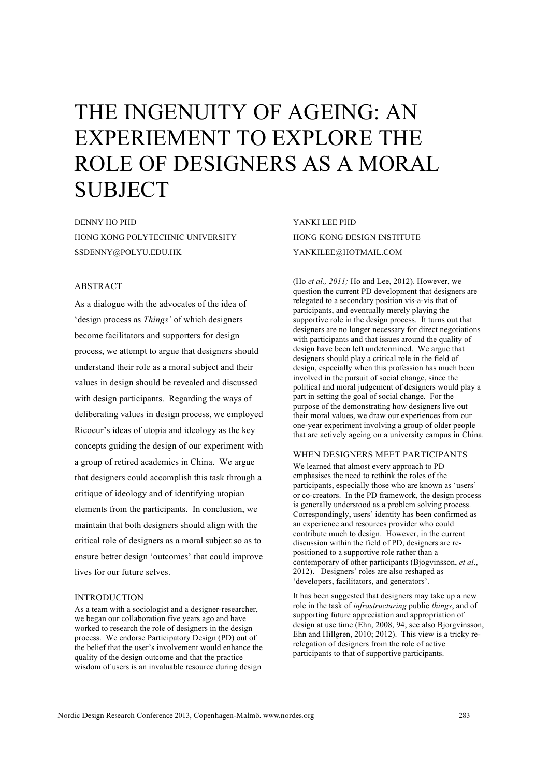# THE INGENUITY OF AGEING: AN EXPERIEMENT TO EXPLORE THE ROLE OF DESIGNERS AS A MORAL SUBJECT

DENNY HO PHD HONG KONG POLYTECHNIC UNIVERSITY SSDENNY@POLYU.EDU.HK

# ABSTRACT

As a dialogue with the advocates of the idea of 'design process as *Things'* of which designers become facilitators and supporters for design process, we attempt to argue that designers should understand their role as a moral subject and their values in design should be revealed and discussed with design participants. Regarding the ways of deliberating values in design process, we employed Ricoeur's ideas of utopia and ideology as the key concepts guiding the design of our experiment with a group of retired academics in China. We argue that designers could accomplish this task through a critique of ideology and of identifying utopian elements from the participants. In conclusion, we maintain that both designers should align with the critical role of designers as a moral subject so as to ensure better design 'outcomes' that could improve lives for our future selves.

# INTRODUCTION

As a team with a sociologist and a designer-researcher, we began our collaboration five years ago and have worked to research the role of designers in the design process. We endorse Participatory Design (PD) out of the belief that the user's involvement would enhance the quality of the design outcome and that the practice wisdom of users is an invaluable resource during design

YANKI LEE PHD HONG KONG DESIGN INSTITUTE YANKILEE@HOTMAIL.COM

(Ho *et al., 2011;* Ho and Lee, 2012). However, we question the current PD development that designers are relegated to a secondary position vis-a-vis that of participants, and eventually merely playing the supportive role in the design process. It turns out that designers are no longer necessary for direct negotiations with participants and that issues around the quality of design have been left undetermined. We argue that designers should play a critical role in the field of design, especially when this profession has much been involved in the pursuit of social change, since the political and moral judgement of designers would play a part in setting the goal of social change. For the purpose of the demonstrating how designers live out their moral values, we draw our experiences from our one-year experiment involving a group of older people that are actively ageing on a university campus in China.

# WHEN DESIGNERS MEET PARTICIPANTS

We learned that almost every approach to PD emphasises the need to rethink the roles of the participants, especially those who are known as 'users' or co-creators. In the PD framework, the design process is generally understood as a problem solving process. Correspondingly, users' identity has been confirmed as an experience and resources provider who could contribute much to design. However, in the current discussion within the field of PD, designers are repositioned to a supportive role rather than a contemporary of other participants (Bjogvinsson, *et al*., 2012). Designers' roles are also reshaped as 'developers, facilitators, and generators'.

It has been suggested that designers may take up a new role in the task of *infrastructuring* public *things*, and of supporting future appreciation and appropriation of design at use time (Ehn, 2008, 94; see also Bjorgvinsson, Ehn and Hillgren, 2010; 2012). This view is a tricky rerelegation of designers from the role of active participants to that of supportive participants.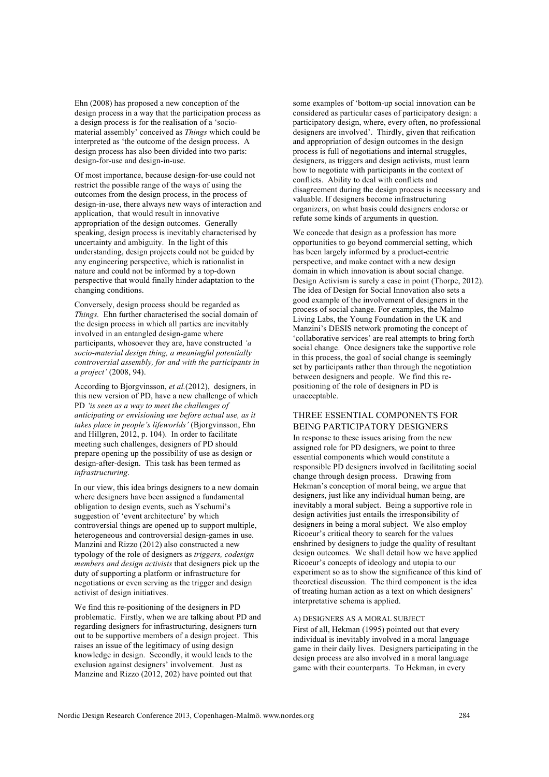Ehn (2008) has proposed a new conception of the design process in a way that the participation process as a design process is for the realisation of a 'sociomaterial assembly' conceived as *Things* which could be interpreted as 'the outcome of the design process. A design process has also been divided into two parts: design-for-use and design-in-use.

Of most importance, because design-for-use could not restrict the possible range of the ways of using the outcomes from the design process, in the process of design-in-use, there always new ways of interaction and application, that would result in innovative appropriation of the design outcomes. Generally speaking, design process is inevitably characterised by uncertainty and ambiguity. In the light of this understanding, design projects could not be guided by any engineering perspective, which is rationalist in nature and could not be informed by a top-down perspective that would finally hinder adaptation to the changing conditions.

Conversely, design process should be regarded as *Things.* Ehn further characterised the social domain of the design process in which all parties are inevitably involved in an entangled design-game where participants, whosoever they are, have constructed *'a socio-material design thing, a meaningful potentially controversial assembly, for and with the participants in a project'* (2008, 94).

According to Bjorgvinsson, *et al.*(2012), designers, in this new version of PD, have a new challenge of which PD *'is seen as a way to meet the challenges of anticipating or envisioning use before actual use, as it takes place in people's lifeworlds'* (Bjorgvinsson, Ehn and Hillgren, 2012, p. 104). In order to facilitate meeting such challenges, designers of PD should prepare opening up the possibility of use as design or design-after-design. This task has been termed as *infrastructuring*.

In our view, this idea brings designers to a new domain where designers have been assigned a fundamental obligation to design events, such as Yschumi's suggestion of 'event architecture' by which controversial things are opened up to support multiple, heterogeneous and controversial design-games in use. Manzini and Rizzo (2012) also constructed a new typology of the role of designers as *triggers, codesign members and design activists* that designers pick up the duty of supporting a platform or infrastructure for negotiations or even serving as the trigger and design activist of design initiatives.

We find this re-positioning of the designers in PD problematic. Firstly, when we are talking about PD and regarding designers for infrastructuring, designers turn out to be supportive members of a design project. This raises an issue of the legitimacy of using design knowledge in design. Secondly, it would leads to the exclusion against designers' involvement. Just as Manzine and Rizzo (2012, 202) have pointed out that

some examples of 'bottom-up social innovation can be considered as particular cases of participatory design: a participatory design, where, every often, no professional designers are involved'. Thirdly, given that reification and appropriation of design outcomes in the design process is full of negotiations and internal struggles, designers, as triggers and design activists, must learn how to negotiate with participants in the context of conflicts. Ability to deal with conflicts and disagreement during the design process is necessary and valuable. If designers become infrastructuring organizers, on what basis could designers endorse or refute some kinds of arguments in question.

We concede that design as a profession has more opportunities to go beyond commercial setting, which has been largely informed by a product-centric perspective, and make contact with a new design domain in which innovation is about social change. Design Activism is surely a case in point (Thorpe, 2012). The idea of Design for Social Innovation also sets a good example of the involvement of designers in the process of social change. For examples, the Malmo Living Labs, the Young Foundation in the UK and Manzini's DESIS network promoting the concept of 'collaborative services' are real attempts to bring forth social change. Once designers take the supportive role in this process, the goal of social change is seemingly set by participants rather than through the negotiation between designers and people. We find this repositioning of the role of designers in PD is unacceptable.

# THREE ESSENTIAL COMPONENTS FOR BEING PARTICIPATORY DESIGNERS

In response to these issues arising from the new assigned role for PD designers, we point to three essential components which would constitute a responsible PD designers involved in facilitating social change through design process. Drawing from Hekman's conception of moral being, we argue that designers, just like any individual human being, are inevitably a moral subject. Being a supportive role in design activities just entails the irresponsibility of designers in being a moral subject. We also employ Ricoeur's critical theory to search for the values enshrined by designers to judge the quality of resultant design outcomes. We shall detail how we have applied Ricoeur's concepts of ideology and utopia to our experiment so as to show the significance of this kind of theoretical discussion. The third component is the idea of treating human action as a text on which designers' interpretative schema is applied.

#### A) DESIGNERS AS A MORAL SUBJECT

First of all, Hekman (1995) pointed out that every individual is inevitably involved in a moral language game in their daily lives. Designers participating in the design process are also involved in a moral language game with their counterparts. To Hekman, in every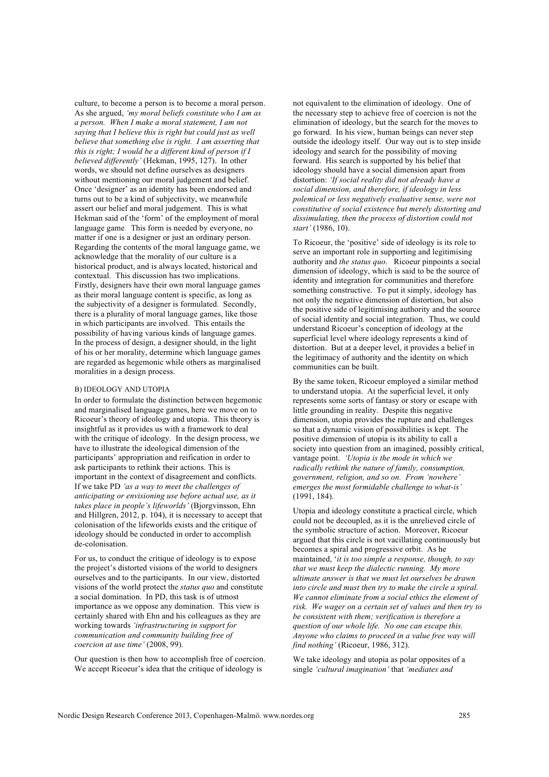culture, to become a person is to become a moral person. As she argued, *'my moral beliefs constitute who I am as a person. When I make a moral statement, I am not saying that I believe this is right but could just as well believe that something else is right. I am asserting that this is right; I would be a different kind of person if I believed differently'* (Hekman, 1995, 127). In other words, we should not define ourselves as designers without mentioning our moral judgement and belief. Once 'designer' as an identity has been endorsed and turns out to be a kind of subjectivity, we meanwhile assert our belief and moral judgement. This is what Hekman said of the 'form' of the employment of moral language game. This form is needed by everyone, no matter if one is a designer or just an ordinary person. Regarding the contents of the moral language game, we acknowledge that the morality of our culture is a historical product, and is always located, historical and contextual. This discussion has two implications. Firstly, designers have their own moral language games as their moral language content is specific, as long as the subjectivity of a designer is formulated. Secondly, there is a plurality of moral language games, like those in which participants are involved. This entails the possibility of having various kinds of language games. In the process of design, a designer should, in the light of his or her morality, determine which language games are regarded as hegemonic while others as marginalised moralities in a design process.

#### B) IDEOLOGY AND UTOPIA

In order to formulate the distinction between hegemonic and marginalised language games, here we move on to Ricoeur's theory of ideology and utopia. This theory is insightful as it provides us with a framework to deal with the critique of ideology. In the design process, we have to illustrate the ideological dimension of the participants' appropriation and reification in order to ask participants to rethink their actions. This is important in the context of disagreement and conflicts. If we take PD *'as a way to meet the challenges of anticipating or envisioning use before actual use, as it takes place in people's lifeworlds'* (Bjorgvinsson, Ehn and Hillgren, 2012, p. 104), it is necessary to accept that colonisation of the lifeworlds exists and the critique of ideology should be conducted in order to accomplish de-colonisation.

For us, to conduct the critique of ideology is to expose the project's distorted visions of the world to designers ourselves and to the participants. In our view, distorted visions of the world protect the *status quo* and constitute a social domination. In PD, this task is of utmost importance as we oppose any domination. This view is certainly shared with Ehn and his colleagues as they are working towards *'infrastructuring in support for communication and community building free of coercion at use time'* (2008, 99).

Our question is then how to accomplish free of coercion. We accept Ricoeur's idea that the critique of ideology is

not equivalent to the elimination of ideology. One of the necessary step to achieve free of coercion is not the elimination of ideology, but the search for the moves to go forward. In his view, human beings can never step outside the ideology itself. Our way out is to step inside ideology and search for the possibility of moving forward. His search is supported by his belief that ideology should have a social dimension apart from distortion: *'If social reality did not already have a social dimension, and therefore, if ideology in less polemical or less negatively evaluative sense, were not constitutive of social existence but merely distorting and dissimulating, then the process of distortion could not start'* (1986, 10).

To Ricoeur, the 'positive' side of ideology is its role to serve an important role in supporting and legitimising authority and *the status quo*. Ricoeur pinpoints a social dimension of ideology, which is said to be the source of identity and integration for communities and therefore something constructive. To put it simply, ideology has not only the negative dimension of distortion, but also the positive side of legitimising authority and the source of social identity and social integration. Thus, we could understand Ricoeur's conception of ideology at the superficial level where ideology represents a kind of distortion. But at a deeper level, it provides a belief in the legitimacy of authority and the identity on which communities can be built.

By the same token, Ricoeur employed a similar method to understand utopia. At the superficial level, it only represents some sorts of fantasy or story or escape with little grounding in reality. Despite this negative dimension, utopia provides the rupture and challenges so that a dynamic vision of possibilities is kept. The positive dimension of utopia is its ability to call a society into question from an imagined, possibly critical, vantage point. *'Utopia is the mode in which we radically rethink the nature of family, consumption, government, religion, and so on. From 'nowhere' emerges the most formidable challenge to what-is'*  (1991, 184).

Utopia and ideology constitute a practical circle, which could not be decoupled, as it is the unrelieved circle of the symbolic structure of action. Moreover, Ricoeur argued that this circle is not vacillating continuously but becomes a spiral and progressive orbit. As he maintained, '*it is too simple a response, though, to say that we must keep the dialectic running. My more ultimate answer is that we must let ourselves be drawn into circle and must then try to make the circle a spiral. We cannot eliminate from a social ethics the element of risk. We wager on a certain set of values and then try to be consistent with them; verification is therefore a question of our whole life. No one can escape this. Anyone who claims to proceed in a value free way will find nothing'* (Ricoeur, 1986, 312).

We take ideology and utopia as polar opposites of a single *'cultural imagination'* that *'mediates and*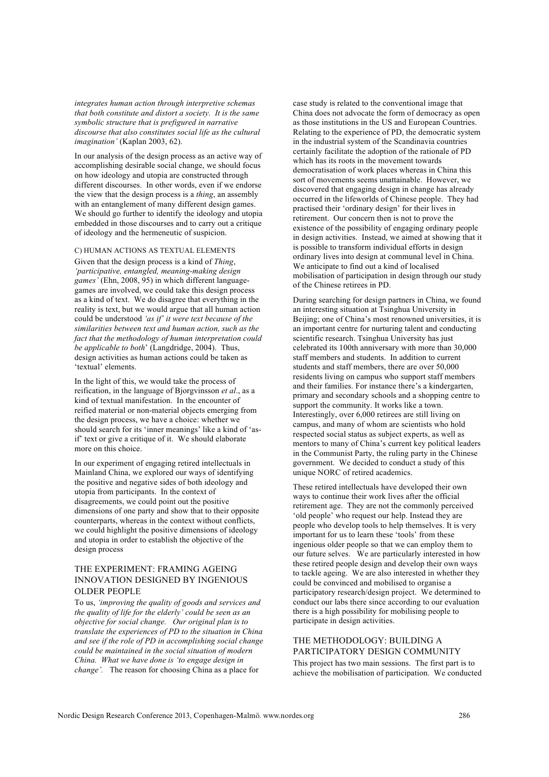*integrates human action through interpretive schemas that both constitute and distort a society. It is the same symbolic structure that is prefigured in narrative discourse that also constitutes social life as the cultural imagination'* (Kaplan 2003, 62).

In our analysis of the design process as an active way of accomplishing desirable social change, we should focus on how ideology and utopia are constructed through different discourses. In other words, even if we endorse the view that the design process is a *thing*, an assembly with an entanglement of many different design games. We should go further to identify the ideology and utopia embedded in those discourses and to carry out a critique of ideology and the hermeneutic of suspicion.

### C) HUMAN ACTIONS AS TEXTUAL ELEMENTS

Given that the design process is a kind of *Thing*, *'participative, entangled, meaning-making design games'* (Ehn, 2008, 95) in which different languagegames are involved, we could take this design process as a kind of text. We do disagree that everything in the reality is text, but we would argue that all human action could be understood *'as if' it were text because of the similarities between text and human action, such as the fact that the methodology of human interpretation could be applicable to both*' (Langdridge, 2004). Thus, design activities as human actions could be taken as 'textual' elements.

In the light of this, we would take the process of reification, in the language of Bjorgvinsson *et al*., as a kind of textual manifestation. In the encounter of reified material or non-material objects emerging from the design process, we have a choice: whether we should search for its 'inner meanings' like a kind of 'asif' text or give a critique of it. We should elaborate more on this choice.

In our experiment of engaging retired intellectuals in Mainland China, we explored our ways of identifying the positive and negative sides of both ideology and utopia from participants. In the context of disagreements, we could point out the positive dimensions of one party and show that to their opposite counterparts, whereas in the context without conflicts, we could highlight the positive dimensions of ideology and utopia in order to establish the objective of the design process

# THE EXPERIMENT: FRAMING AGEING INNOVATION DESIGNED BY INGENIOUS OLDER PEOPLE

To us, *'improving the quality of goods and services and the quality of life for the elderly' could be seen as an objective for social change. Our original plan is to translate the experiences of PD to the situation in China and see if the role of PD in accomplishing social change could be maintained in the social situation of modern China. What we have done is 'to engage design in change'.* The reason for choosing China as a place for

case study is related to the conventional image that China does not advocate the form of democracy as open as those institutions in the US and European Countries. Relating to the experience of PD, the democratic system in the industrial system of the Scandinavia countries certainly facilitate the adoption of the rationale of PD which has its roots in the movement towards democratisation of work places whereas in China this sort of movements seems unattainable. However, we discovered that engaging design in change has already occurred in the lifeworlds of Chinese people. They had practised their 'ordinary design' for their lives in retirement. Our concern then is not to prove the existence of the possibility of engaging ordinary people in design activities. Instead, we aimed at showing that it is possible to transform individual efforts in design ordinary lives into design at communal level in China. We anticipate to find out a kind of localised mobilisation of participation in design through our study of the Chinese retirees in PD.

During searching for design partners in China, we found an interesting situation at Tsinghua University in Beijing; one of China's most renowned universities, it is an important centre for nurturing talent and conducting scientific research. Tsinghua University has just celebrated its 100th anniversary with more than 30,000 staff members and students. In addition to current students and staff members, there are over 50,000 residents living on campus who support staff members and their families. For instance there's a kindergarten, primary and secondary schools and a shopping centre to support the community. It works like a town. Interestingly, over 6,000 retirees are still living on campus, and many of whom are scientists who hold respected social status as subject experts, as well as mentors to many of China's current key political leaders in the Communist Party, the ruling party in the Chinese government. We decided to conduct a study of this unique NORC of retired academics.

These retired intellectuals have developed their own ways to continue their work lives after the official retirement age. They are not the commonly perceived 'old people' who request our help. Instead they are people who develop tools to help themselves. It is very important for us to learn these 'tools' from these ingenious older people so that we can employ them to our future selves. We are particularly interested in how these retired people design and develop their own ways to tackle ageing. We are also interested in whether they could be convinced and mobilised to organise a participatory research/design project. We determined to conduct our labs there since according to our evaluation there is a high possibility for mobilising people to participate in design activities.

# THE METHODOLOGY: BUILDING A PARTICIPATORY DESIGN COMMUNITY

This project has two main sessions. The first part is to achieve the mobilisation of participation. We conducted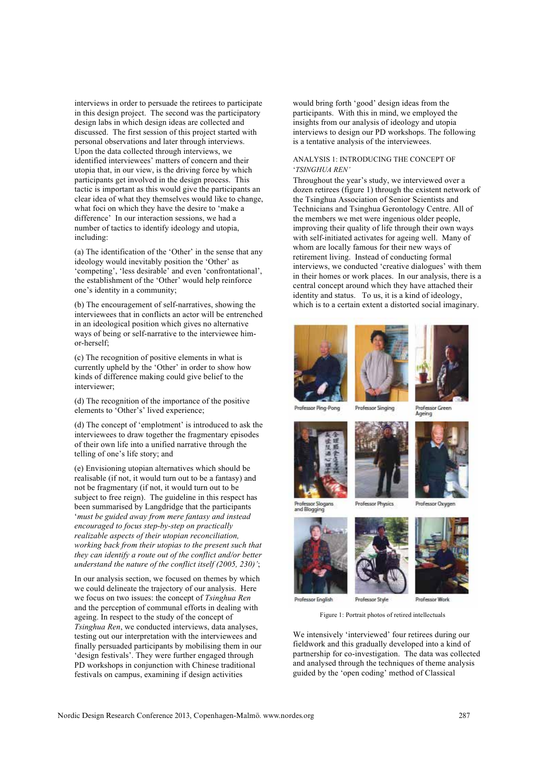interviews in order to persuade the retirees to participate in this design project. The second was the participatory design labs in which design ideas are collected and discussed. The first session of this project started with personal observations and later through interviews. Upon the data collected through interviews, we identified interviewees' matters of concern and their utopia that, in our view, is the driving force by which participants get involved in the design process. This tactic is important as this would give the participants an clear idea of what they themselves would like to change, what foci on which they have the desire to 'make a difference' In our interaction sessions, we had a number of tactics to identify ideology and utopia, including:

(a) The identification of the 'Other' in the sense that any ideology would inevitably position the 'Other' as 'competing', 'less desirable' and even 'confrontational', the establishment of the 'Other' would help reinforce one's identity in a community;

(b) The encouragement of self-narratives, showing the interviewees that in conflicts an actor will be entrenched in an ideological position which gives no alternative ways of being or self-narrative to the interviewee himor-herself;

(c) The recognition of positive elements in what is currently upheld by the 'Other' in order to show how kinds of difference making could give belief to the interviewer;

(d) The recognition of the importance of the positive elements to 'Other's' lived experience;

(d) The concept of 'emplotment' is introduced to ask the interviewees to draw together the fragmentary episodes of their own life into a unified narrative through the telling of one's life story; and

(e) Envisioning utopian alternatives which should be realisable (if not, it would turn out to be a fantasy) and not be fragmentary (if not, it would turn out to be subject to free reign). The guideline in this respect has been summarised by Langdridge that the participants '*must be guided away from mere fantasy and instead encouraged to focus step-by-step on practically realizable aspects of their utopian reconciliation, working back from their utopias to the present such that they can identify a route out of the conflict and/or better understand the nature of the conflict itself (2005, 230)'*;

In our analysis section, we focused on themes by which we could delineate the trajectory of our analysis. Here we focus on two issues: the concept of *Tsinghua Ren* and the perception of communal efforts in dealing with ageing. In respect to the study of the concept of *Tsinghua Ren*, we conducted interviews, data analyses, testing out our interpretation with the interviewees and finally persuaded participants by mobilising them in our 'design festivals'. They were further engaged through PD workshops in conjunction with Chinese traditional festivals on campus, examining if design activities

would bring forth 'good' design ideas from the participants. With this in mind, we employed the insights from our analysis of ideology and utopia interviews to design our PD workshops. The following is a tentative analysis of the interviewees.

## ANALYSIS 1: INTRODUCING THE CONCEPT OF '*TSINGHUA REN'*

Throughout the year's study, we interviewed over a dozen retirees (figure 1) through the existent network of the Tsinghua Association of Senior Scientists and Technicians and Tsinghua Gerontology Centre. All of the members we met were ingenious older people, improving their quality of life through their own ways with self-initiated activates for ageing well. Many of whom are locally famous for their new ways of retirement living. Instead of conducting formal interviews, we conducted 'creative dialogues' with them in their homes or work places. In our analysis, there is a central concept around which they have attached their identity and status. To us, it is a kind of ideology, which is to a certain extent a distorted social imaginary.





sor Slogans

**Dreiferner Cineirus** Professor Green



**Professor Physics** 



Professor Work

Professor English

Figure 1: Portrait photos of retired intellectuals

We intensively 'interviewed' four retirees during our fieldwork and this gradually developed into a kind of partnership for co-investigation. The data was collected and analysed through the techniques of theme analysis guided by the 'open coding' method of Classical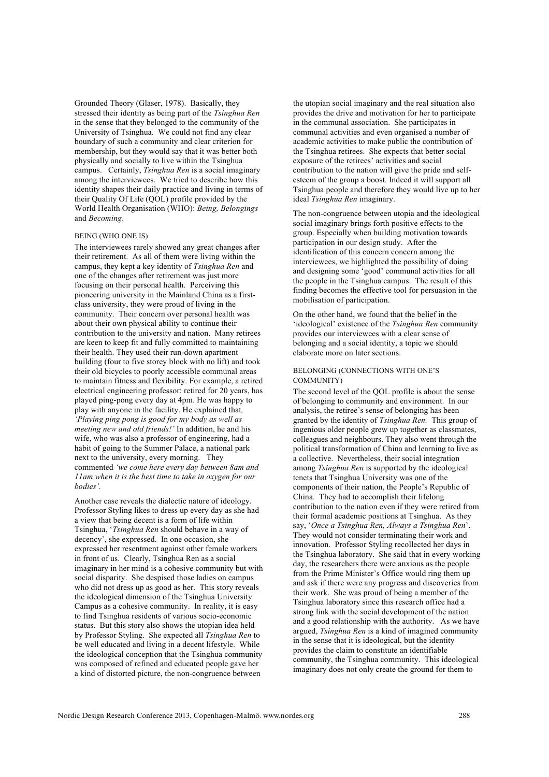Grounded Theory (Glaser, 1978). Basically, they stressed their identity as being part of the *Tsinghua Ren* in the sense that they belonged to the community of the University of Tsinghua. We could not find any clear boundary of such a community and clear criterion for membership, but they would say that it was better both physically and socially to live within the Tsinghua campus. Certainly, *Tsinghua Ren* is a social imaginary among the interviewees. We tried to describe how this identity shapes their daily practice and living in terms of their Quality Of Life (QOL) profile provided by the World Health Organisation (WHO): *Being, Belongings* and *Becoming*.

## BEING (WHO ONE IS)

The interviewees rarely showed any great changes after their retirement. As all of them were living within the campus, they kept a key identity of *Tsinghua Ren* and one of the changes after retirement was just more focusing on their personal health. Perceiving this pioneering university in the Mainland China as a firstclass university, they were proud of living in the community. Their concern over personal health was about their own physical ability to continue their contribution to the university and nation. Many retirees are keen to keep fit and fully committed to maintaining their health. They used their run-down apartment building (four to five storey block with no lift) and took their old bicycles to poorly accessible communal areas to maintain fitness and flexibility. For example, a retired electrical engineering professor: retired for 20 years, has played ping-pong every day at 4pm. He was happy to play with anyone in the facility. He explained that*, 'Playing ping pong is good for my body as well as meeting new and old friends!'* In addition, he and his wife, who was also a professor of engineering, had a habit of going to the Summer Palace, a national park next to the university, every morning. They commented *'we come here every day between 8am and 11am when it is the best time to take in oxygen for our bodies'.* 

Another case reveals the dialectic nature of ideology. Professor Styling likes to dress up every day as she had a view that being decent is a form of life within Tsinghua, '*Tsinghua Ren* should behave in a way of decency', she expressed. In one occasion, she expressed her resentment against other female workers in front of us. Clearly, Tsinghua Ren as a social imaginary in her mind is a cohesive community but with social disparity. She despised those ladies on campus who did not dress up as good as her. This story reveals the ideological dimension of the Tsinghua University Campus as a cohesive community. In reality, it is easy to find Tsinghua residents of various socio-economic status. But this story also shows the utopian idea held by Professor Styling. She expected all *Tsinghua Ren* to be well educated and living in a decent lifestyle. While the ideological conception that the Tsinghua community was composed of refined and educated people gave her a kind of distorted picture, the non-congruence between

the utopian social imaginary and the real situation also provides the drive and motivation for her to participate in the communal association. She participates in communal activities and even organised a number of academic activities to make public the contribution of the Tsinghua retirees. She expects that better social exposure of the retirees' activities and social contribution to the nation will give the pride and selfesteem of the group a boost. Indeed it will support all Tsinghua people and therefore they would live up to her ideal *Tsinghua Ren* imaginary.

The non-congruence between utopia and the ideological social imaginary brings forth positive effects to the group. Especially when building motivation towards participation in our design study. After the identification of this concern concern among the interviewees, we highlighted the possibility of doing and designing some 'good' communal activities for all the people in the Tsinghua campus. The result of this finding becomes the effective tool for persuasion in the mobilisation of participation.

On the other hand, we found that the belief in the 'ideological' existence of the *Tsinghua Ren* community provides our interviewees with a clear sense of belonging and a social identity, a topic we should elaborate more on later sections.

# BELONGING (CONNECTIONS WITH ONE'S COMMUNITY)

The second level of the QOL profile is about the sense of belonging to community and environment. In our analysis, the retiree's sense of belonging has been granted by the identity of *Tsinghua Ren.* This group of ingenious older people grew up together as classmates, colleagues and neighbours. They also went through the political transformation of China and learning to live as a collective. Nevertheless, their social integration among *Tsinghua Ren* is supported by the ideological tenets that Tsinghua University was one of the components of their nation, the People's Republic of China. They had to accomplish their lifelong contribution to the nation even if they were retired from their formal academic positions at Tsinghua. As they say, '*Once a Tsinghua Ren, Always a Tsinghua Ren*'. They would not consider terminating their work and innovation. Professor Styling recollected her days in the Tsinghua laboratory. She said that in every working day, the researchers there were anxious as the people from the Prime Minister's Office would ring them up and ask if there were any progress and discoveries from their work. She was proud of being a member of the Tsinghua laboratory since this research office had a strong link with the social development of the nation and a good relationship with the authority. As we have argued, *Tsinghua Ren* is a kind of imagined community in the sense that it is ideological, but the identity provides the claim to constitute an identifiable community, the Tsinghua community. This ideological imaginary does not only create the ground for them to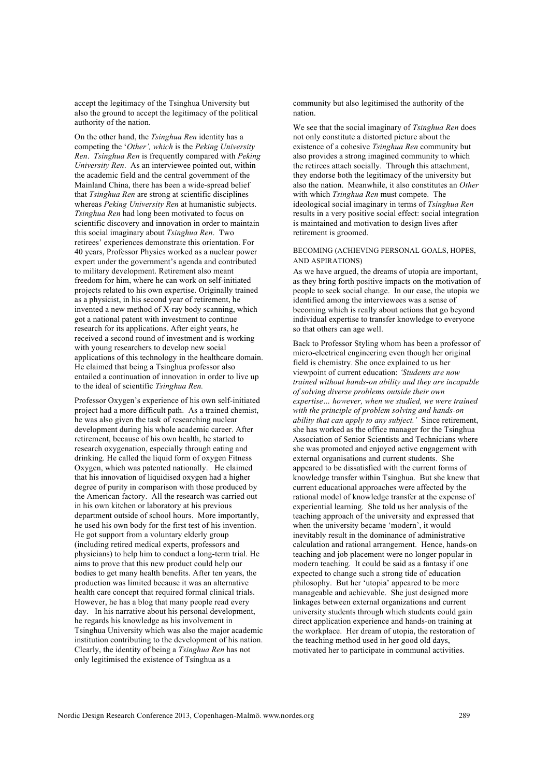accept the legitimacy of the Tsinghua University but also the ground to accept the legitimacy of the political authority of the nation.

On the other hand, the *Tsinghua Ren* identity has a competing the '*Other', which* is the *Peking University Ren*. *Tsinghua Ren* is frequently compared with *Peking University Ren*. As an interviewee pointed out, within the academic field and the central government of the Mainland China, there has been a wide-spread belief that *Tsinghua Ren* are strong at scientific disciplines whereas *Peking University Ren* at humanistic subjects. *Tsinghua Ren* had long been motivated to focus on scientific discovery and innovation in order to maintain this social imaginary about *Tsinghua Ren*. Two retirees' experiences demonstrate this orientation. For 40 years, Professor Physics worked as a nuclear power expert under the government's agenda and contributed to military development. Retirement also meant freedom for him, where he can work on self-initiated projects related to his own expertise. Originally trained as a physicist, in his second year of retirement, he invented a new method of X-ray body scanning, which got a national patent with investment to continue research for its applications. After eight years, he received a second round of investment and is working with young researchers to develop new social applications of this technology in the healthcare domain. He claimed that being a Tsinghua professor also entailed a continuation of innovation in order to live up to the ideal of scientific *Tsinghua Ren.*

Professor Oxygen's experience of his own self-initiated project had a more difficult path. As a trained chemist, he was also given the task of researching nuclear development during his whole academic career. After retirement, because of his own health, he started to research oxygenation, especially through eating and drinking. He called the liquid form of oxygen Fitness Oxygen, which was patented nationally. He claimed that his innovation of liquidised oxygen had a higher degree of purity in comparison with those produced by the American factory. All the research was carried out in his own kitchen or laboratory at his previous department outside of school hours. More importantly, he used his own body for the first test of his invention. He got support from a voluntary elderly group (including retired medical experts, professors and physicians) to help him to conduct a long-term trial. He aims to prove that this new product could help our bodies to get many health benefits. After ten years, the production was limited because it was an alternative health care concept that required formal clinical trials. However, he has a blog that many people read every day. In his narrative about his personal development, he regards his knowledge as his involvement in Tsinghua University which was also the major academic institution contributing to the development of his nation. Clearly, the identity of being a *Tsinghua Ren* has not only legitimised the existence of Tsinghua as a

community but also legitimised the authority of the nation.

We see that the social imaginary of *Tsinghua Ren* does not only constitute a distorted picture about the existence of a cohesive *Tsinghua Ren* community but also provides a strong imagined community to which the retirees attach socially. Through this attachment, they endorse both the legitimacy of the university but also the nation. Meanwhile, it also constitutes an *Other* with which *Tsinghua Ren* must compete. The ideological social imaginary in terms of *Tsinghua Ren* results in a very positive social effect: social integration is maintained and motivation to design lives after retirement is groomed.

# BECOMING (ACHIEVING PERSONAL GOALS, HOPES, AND ASPIRATIONS)

As we have argued, the dreams of utopia are important. as they bring forth positive impacts on the motivation of people to seek social change. In our case, the utopia we identified among the interviewees was a sense of becoming which is really about actions that go beyond individual expertise to transfer knowledge to everyone so that others can age well.

Back to Professor Styling whom has been a professor of micro-electrical engineering even though her original field is chemistry. She once explained to us her viewpoint of current education: *'Students are now trained without hands-on ability and they are incapable of solving diverse problems outside their own expertise… however, when we studied, we were trained with the principle of problem solving and hands-on ability that can apply to any subject.'* Since retirement, she has worked as the office manager for the Tsinghua Association of Senior Scientists and Technicians where she was promoted and enjoyed active engagement with external organisations and current students. She appeared to be dissatisfied with the current forms of knowledge transfer within Tsinghua. But she knew that current educational approaches were affected by the rational model of knowledge transfer at the expense of experiential learning. She told us her analysis of the teaching approach of the university and expressed that when the university became 'modern', it would inevitably result in the dominance of administrative calculation and rational arrangement. Hence, hands-on teaching and job placement were no longer popular in modern teaching. It could be said as a fantasy if one expected to change such a strong tide of education philosophy. But her 'utopia' appeared to be more manageable and achievable. She just designed more linkages between external organizations and current university students through which students could gain direct application experience and hands-on training at the workplace. Her dream of utopia, the restoration of the teaching method used in her good old days, motivated her to participate in communal activities.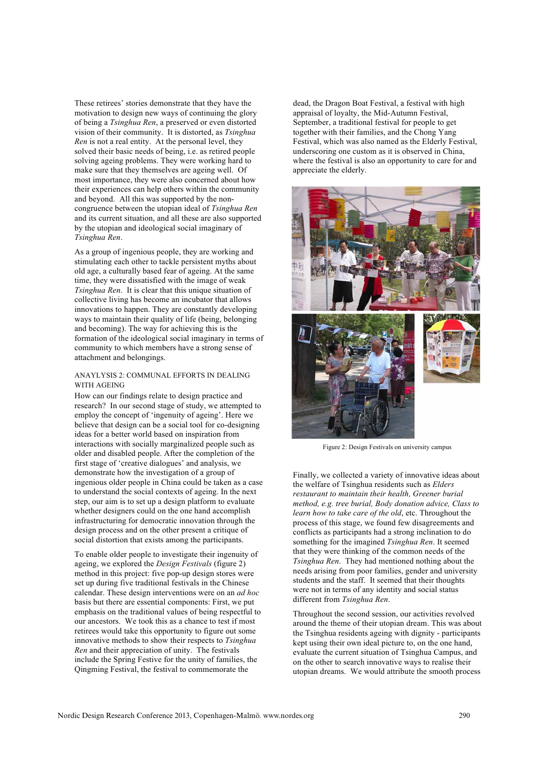These retirees' stories demonstrate that they have the motivation to design new ways of continuing the glory of being a *Tsinghua Ren*, a preserved or even distorted vision of their community. It is distorted, as *Tsinghua Ren* is not a real entity. At the personal level, they solved their basic needs of being, i.e. as retired people solving ageing problems. They were working hard to make sure that they themselves are ageing well. Of most importance, they were also concerned about how their experiences can help others within the community and beyond. All this was supported by the noncongruence between the utopian ideal of *Tsinghua Ren* and its current situation, and all these are also supported by the utopian and ideological social imaginary of *Tsinghua Ren*.

As a group of ingenious people, they are working and stimulating each other to tackle persistent myths about old age, a culturally based fear of ageing. At the same time, they were dissatisfied with the image of weak *Tsinghua Ren*. It is clear that this unique situation of collective living has become an incubator that allows innovations to happen. They are constantly developing ways to maintain their quality of life (being, belonging and becoming). The way for achieving this is the formation of the ideological social imaginary in terms of community to which members have a strong sense of attachment and belongings.

## ANAYLYSIS 2: COMMUNAL EFFORTS IN DEALING WITH AGEING

How can our findings relate to design practice and research? In our second stage of study, we attempted to employ the concept of 'ingenuity of ageing'. Here we believe that design can be a social tool for co-designing ideas for a better world based on inspiration from interactions with socially marginalized people such as older and disabled people. After the completion of the first stage of 'creative dialogues' and analysis, we demonstrate how the investigation of a group of ingenious older people in China could be taken as a case to understand the social contexts of ageing. In the next step, our aim is to set up a design platform to evaluate whether designers could on the one hand accomplish infrastructuring for democratic innovation through the design process and on the other present a critique of social distortion that exists among the participants.

To enable older people to investigate their ingenuity of ageing, we explored the *Design Festivals* (figure 2) method in this project: five pop-up design stores were set up during five traditional festivals in the Chinese calendar. These design interventions were on an *ad hoc* basis but there are essential components: First, we put emphasis on the traditional values of being respectful to our ancestors. We took this as a chance to test if most retirees would take this opportunity to figure out some innovative methods to show their respects to *Tsinghua Ren* and their appreciation of unity. The festivals include the Spring Festive for the unity of families, the Qingming Festival, the festival to commemorate the

dead, the Dragon Boat Festival, a festival with high appraisal of loyalty, the Mid-Autumn Festival, September, a traditional festival for people to get together with their families, and the Chong Yang Festival, which was also named as the Elderly Festival, underscoring one custom as it is observed in China, where the festival is also an opportunity to care for and appreciate the elderly.



Figure 2: Design Festivals on university campus

Finally, we collected a variety of innovative ideas about the welfare of Tsinghua residents such as *Elders restaurant to maintain their health, Greener burial method, e.g. tree burial, Body donation advice, Class to learn how to take care of the old*, etc. Throughout the process of this stage, we found few disagreements and conflicts as participants had a strong inclination to do something for the imagined *Tsinghua Ren*. It seemed that they were thinking of the common needs of the *Tsinghua Ren*. They had mentioned nothing about the needs arising from poor families, gender and university students and the staff. It seemed that their thoughts were not in terms of any identity and social status different from *Tsinghua Ren*.

Throughout the second session, our activities revolved around the theme of their utopian dream. This was about the Tsinghua residents ageing with dignity - participants kept using their own ideal picture to, on the one hand, evaluate the current situation of Tsinghua Campus, and on the other to search innovative ways to realise their utopian dreams. We would attribute the smooth process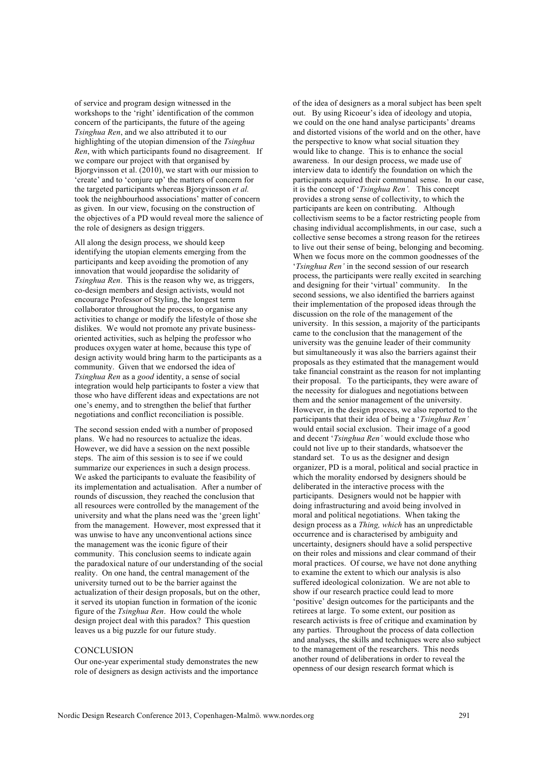of service and program design witnessed in the workshops to the 'right' identification of the common concern of the participants, the future of the ageing *Tsinghua Ren*, and we also attributed it to our highlighting of the utopian dimension of the *Tsinghua Ren*, with which participants found no disagreement. If we compare our project with that organised by Bjorgvinsson et al. (2010), we start with our mission to 'create' and to 'conjure up' the matters of concern for the targeted participants whereas Bjorgvinsson *et al.* took the neighbourhood associations' matter of concern as given. In our view, focusing on the construction of the objectives of a PD would reveal more the salience of the role of designers as design triggers.

All along the design process, we should keep identifying the utopian elements emerging from the participants and keep avoiding the promotion of any innovation that would jeopardise the solidarity of *Tsinghua Ren*. This is the reason why we, as triggers, co-design members and design activists, would not encourage Professor of Styling, the longest term collaborator throughout the process, to organise any activities to change or modify the lifestyle of those she dislikes. We would not promote any private businessoriented activities, such as helping the professor who produces oxygen water at home, because this type of design activity would bring harm to the participants as a community. Given that we endorsed the idea of *Tsinghua Ren* as a *good* identity, a sense of social integration would help participants to foster a view that those who have different ideas and expectations are not one's enemy, and to strengthen the belief that further negotiations and conflict reconciliation is possible.

The second session ended with a number of proposed plans. We had no resources to actualize the ideas. However, we did have a session on the next possible steps. The aim of this session is to see if we could summarize our experiences in such a design process. We asked the participants to evaluate the feasibility of its implementation and actualisation. After a number of rounds of discussion, they reached the conclusion that all resources were controlled by the management of the university and what the plans need was the 'green light' from the management. However, most expressed that it was unwise to have any unconventional actions since the management was the iconic figure of their community. This conclusion seems to indicate again the paradoxical nature of our understanding of the social reality. On one hand, the central management of the university turned out to be the barrier against the actualization of their design proposals, but on the other, it served its utopian function in formation of the iconic figure of the *Tsinghua Ren*. How could the whole design project deal with this paradox? This question leaves us a big puzzle for our future study.

# **CONCLUSION**

Our one-year experimental study demonstrates the new role of designers as design activists and the importance of the idea of designers as a moral subject has been spelt out. By using Ricoeur's idea of ideology and utopia, we could on the one hand analyse participants' dreams and distorted visions of the world and on the other, have the perspective to know what social situation they would like to change. This is to enhance the social awareness. In our design process, we made use of interview data to identify the foundation on which the participants acquired their communal sense. In our case, it is the concept of '*Tsinghua Ren'.* This concept provides a strong sense of collectivity, to which the participants are keen on contributing. Although collectivism seems to be a factor restricting people from chasing individual accomplishments, in our case, such a collective sense becomes a strong reason for the retirees to live out their sense of being, belonging and becoming. When we focus more on the common goodnesses of the '*Tsinghua Ren'* in the second session of our research process, the participants were really excited in searching and designing for their 'virtual' community. In the second sessions, we also identified the barriers against their implementation of the proposed ideas through the discussion on the role of the management of the university. In this session, a majority of the participants came to the conclusion that the management of the university was the genuine leader of their community but simultaneously it was also the barriers against their proposals as they estimated that the management would take financial constraint as the reason for not implanting their proposal. To the participants, they were aware of the necessity for dialogues and negotiations between them and the senior management of the university. However, in the design process, we also reported to the participants that their idea of being a '*Tsinghua Ren'* would entail social exclusion. Their image of a good and decent '*Tsinghua Ren'* would exclude those who could not live up to their standards, whatsoever the standard set. To us as the designer and design organizer, PD is a moral, political and social practice in which the morality endorsed by designers should be deliberated in the interactive process with the participants. Designers would not be happier with doing infrastructuring and avoid being involved in moral and political negotiations. When taking the design process as a *Thing, which* has an unpredictable occurrence and is characterised by ambiguity and uncertainty, designers should have a solid perspective on their roles and missions and clear command of their moral practices. Of course, we have not done anything to examine the extent to which our analysis is also suffered ideological colonization. We are not able to show if our research practice could lead to more 'positive' design outcomes for the participants and the retirees at large. To some extent, our position as research activists is free of critique and examination by any parties. Throughout the process of data collection and analyses, the skills and techniques were also subject to the management of the researchers. This needs another round of deliberations in order to reveal the openness of our design research format which is